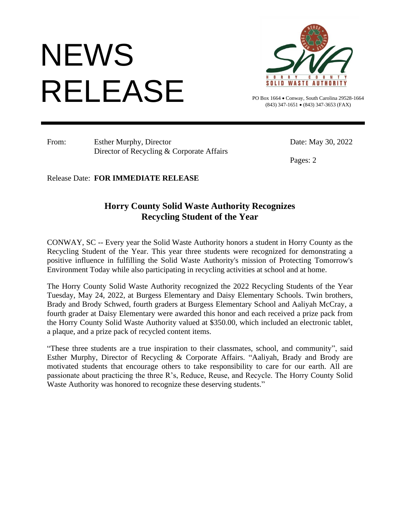## PO Box 1664 . Conway, South Carolin **NEWS** RELEASE



PO Box 1664 • Conway, South Carolina 29528-1664 (843) 347-1651 • (843) 347-3653 (FAX)

From: Esther Murphy, Director Date: May 30, 2022 Director of Recycling & Corporate Affairs

Pages: 2

Release Date: **FOR IMMEDIATE RELEASE**

## **Horry County Solid Waste Authority Recognizes Recycling Student of the Year**

CONWAY, SC -- Every year the Solid Waste Authority honors a student in Horry County as the Recycling Student of the Year. This year three students were recognized for demonstrating a positive influence in fulfilling the Solid Waste Authority's mission of Protecting Tomorrow's Environment Today while also participating in recycling activities at school and at home.

The Horry County Solid Waste Authority recognized the 2022 Recycling Students of the Year Tuesday, May 24, 2022, at Burgess Elementary and Daisy Elementary Schools. Twin brothers, Brady and Brody Schwed, fourth graders at Burgess Elementary School and Aaliyah McCray, a fourth grader at Daisy Elementary were awarded this honor and each received a prize pack from the Horry County Solid Waste Authority valued at \$350.00, which included an electronic tablet, a plaque, and a prize pack of recycled content items.

"These three students are a true inspiration to their classmates, school, and community", said Esther Murphy, Director of Recycling & Corporate Affairs. "Aaliyah, Brady and Brody are motivated students that encourage others to take responsibility to care for our earth. All are passionate about practicing the three R's, Reduce, Reuse, and Recycle. The Horry County Solid Waste Authority was honored to recognize these deserving students."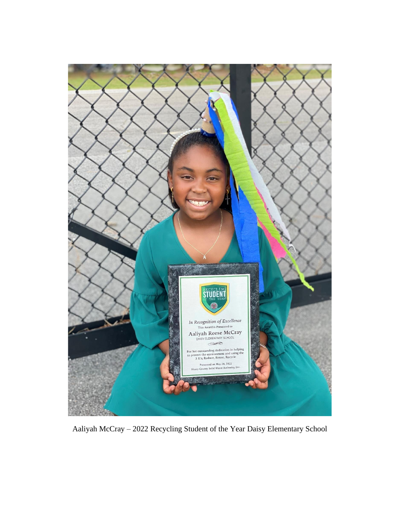

Aaliyah McCray – 2022 Recycling Student of the Year Daisy Elementary School